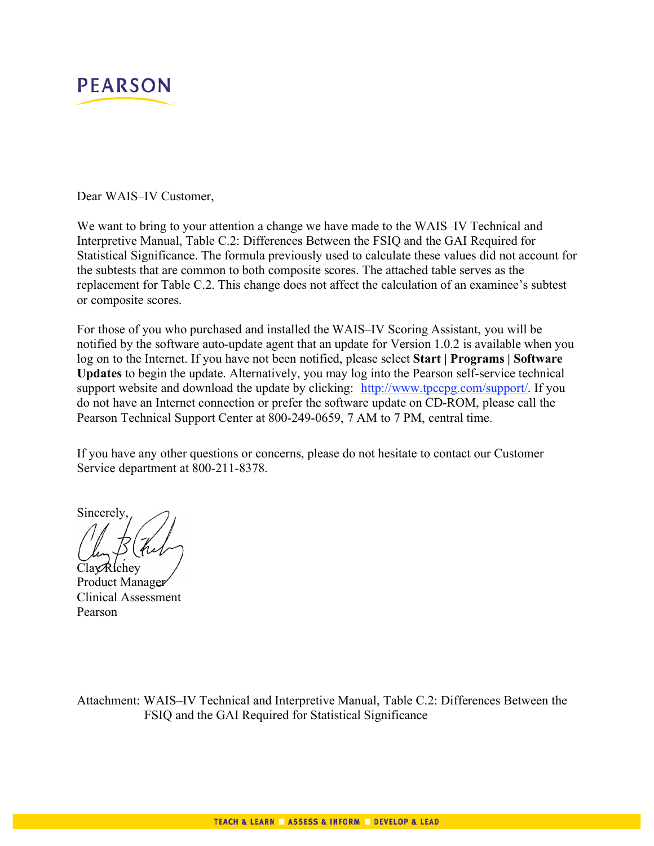

Dear WAIS–IV Customer,

We want to bring to your attention a change we have made to the WAIS–IV Technical and Interpretive Manual, Table C.2: Differences Between the FSIQ and the GAI Required for Statistical Significance. The formula previously used to calculate these values did not account for the subtests that are common to both composite scores. The attached table serves as the replacement for Table C.2. This change does not affect the calculation of an examinee's subtest or composite scores.

For those of you who purchased and installed the WAIS–IV Scoring Assistant, you will be notified by the software auto-update agent that an update for Version 1.0.2 is available when you log on to the Internet. If you have not been notified, please select **Start | Programs | Software Updates** to begin the update. Alternatively, you may log into the Pearson self-service technical support website and download the update by clicking: http://www.tpccpg.com/support/. If you do not have an Internet connection or prefer the software update on CD-ROM, please call the Pearson Technical Support Center at 800-249-0659, 7 AM to 7 PM, central time.

If you have any other questions or concerns, please do not hesitate to contact our Customer Service department at 800-211-8378.

Sincerely,

ClayRichev Product Manager Clinical Assessment Pearson

Attachment: WAIS–IV Technical and Interpretive Manual, Table C.2: Differences Between the FSIQ and the GAI Required for Statistical Significance